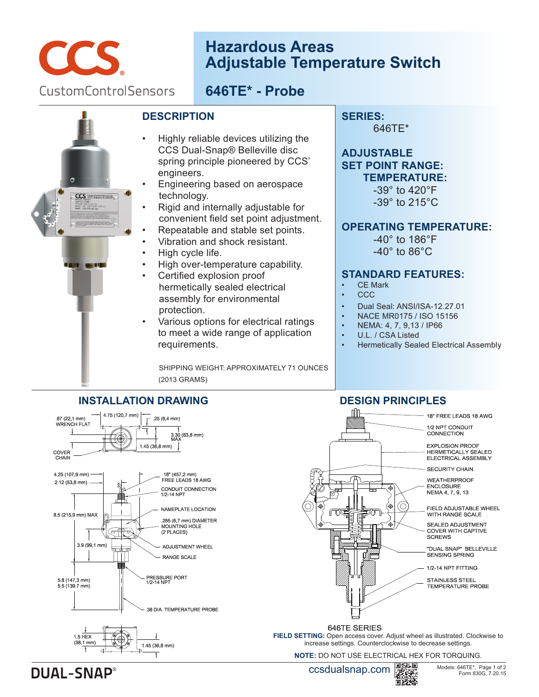

# **Hazardous Areas Adjustable Temperature Switch**

## **646TE\* - Probe**



### **DESCRIPTION**

- Highly reliable devices utilizing the CCS Dual-Snap® Belleville disc spring principle pioneered by CCS' engineers.
- Engineering based on aerospace technology.
- Rigid and internally adjustable for convenient field set point adjustment.
- Repeatable and stable set points.
- Vibration and shock resistant.
- High cycle life.
- High over-temperature capability.
- Certified explosion proof hermetically sealed electrical assembly for environmental protection.
- Various options for electrical ratings to meet a wide range of application requirements.

 SHIPPING WEIGHT: APPROXIMATELY 71 OUNCES (2013 GRAMS)

**SERIES:**  646TE\*

**ADJUSTABLE SET POINT RANGE: TEMPERATURE:** -39° to 420°F

 -39° to 215°C

### **OPERATING TEMPERATURE:**

-40° to 186°F -40° to 86°C

### **STANDARD FEATURES:**

- CF Mark
- $C<sub>C</sub>C$
- Dual Seal: ANSI/ISA-12.27.01
- NACE MR0175 / ISO 15156
- NEMA: 4, 7, 9,13 / IP66
- U.L. / CSA Listed
- **Hermetically Sealed Electrical Assembly**